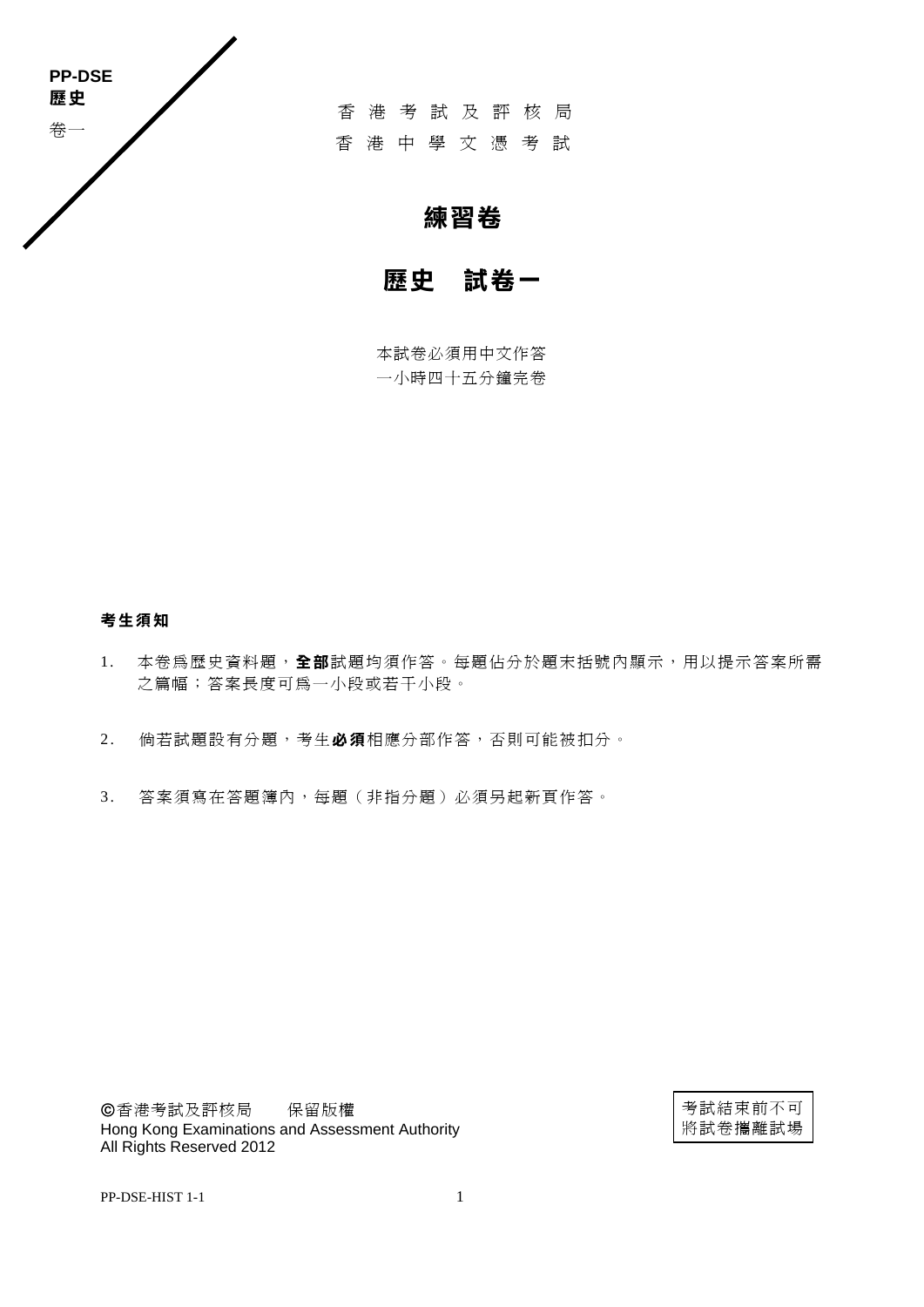

香港考試及評核局 香港中學文憑考試

# **練習卷**

# **歷史 試卷一**

本試卷必須用中文作答 一小時四十五分鐘完卷

## **考生須知**

- 1. 本卷為歷史資料題,**全 部**試題均須作答。每題佔分於題末括號內顯示,用以提示答案所需 之篇幅;答案長度可為一小段或若干小段。
- 2 . 倘若試題設有分題,考生**必 須**相應分部作答,否則可能被扣分。
- 3 . 答案須寫在答題簿內,每題(非指分題)必須另起新頁作答。

香港考試及評核局 保留版權 Hong Kong Examinations and Assessment Authority All Rights Reserved 2012

考試結束前不可 將試卷攜離試場

PP-DSE-HIST 1-1 1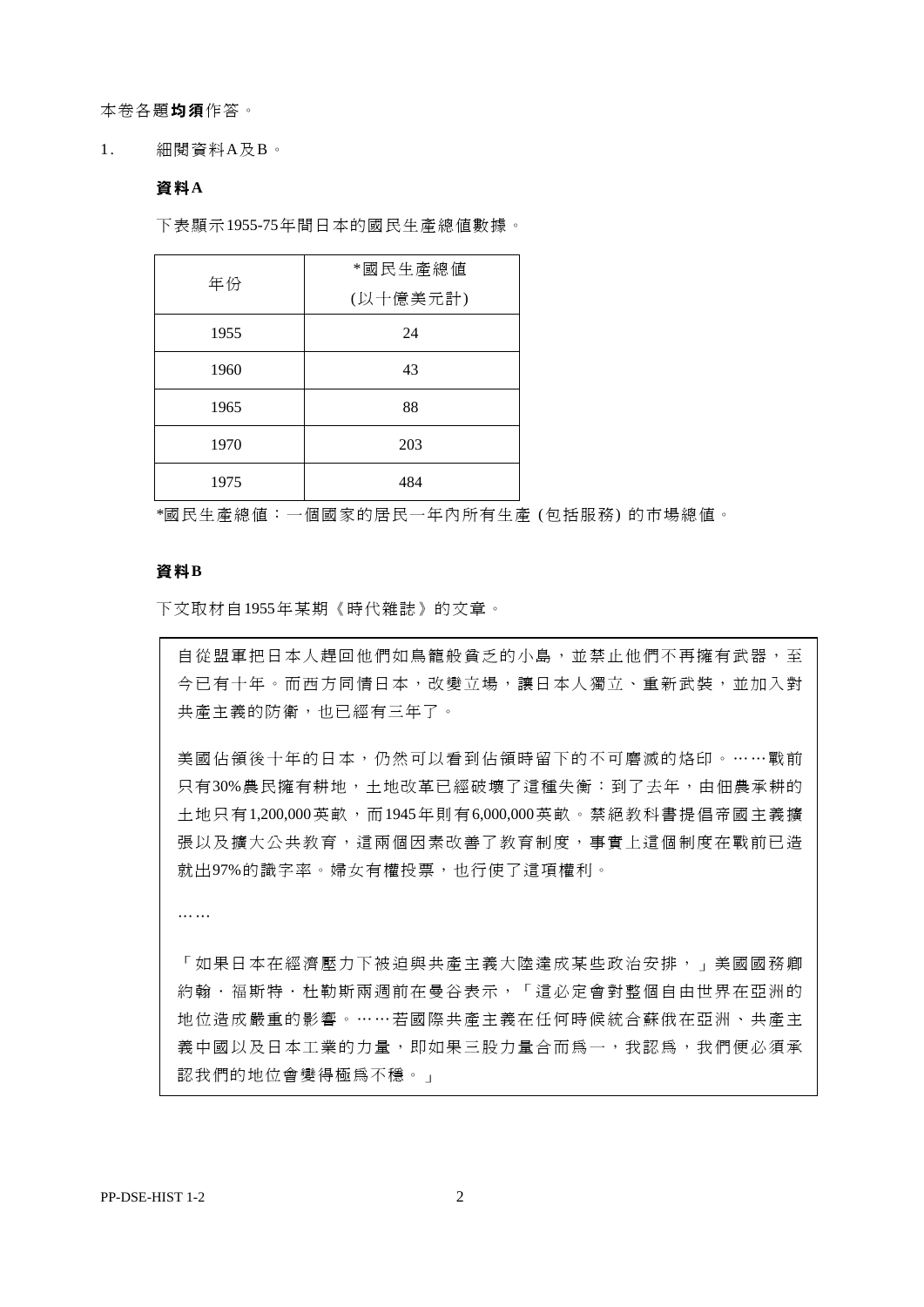本卷各題**均 須**作答。

1. 細閱資料A及B。

#### **資料A**

下表顯示1955-75年間日本的國民生產總值數據。

| 年份   | *國民生產總值  |
|------|----------|
|      | (以十億美元計) |
| 1955 | 24       |
| 1960 | 43       |
| 1965 | 88       |
| 1970 | 203      |
| 1975 | 484      |

\*國民生產總值:一個國家的居民一年內所有生產 (包括服務) 的市場總值。

#### **資料B**

下文取材自1955年某期《時代雜誌》的文章。

自從盟軍把日本人趕回他們如鳥籠般貧乏的小島,並禁止他們不再擁有武器,至 今已有十年。而西方同情日本,改變立場,讓日本人獨立、重新武裝,並加入對 共產主義的防衛,也已經有三年了。

美國佔領後十年的日本,仍然可以看到佔領時留下的不可磨滅的烙印。……戰前 只有30%農民擁有耕地,土地改革已經破壞了這種失衡:到了去年,由佃農承耕的 十地只有1,200,000英畝,而1945年則有6,000,000英畝。禁絕教科書提倡帝國主義擴 張以及擴大公共教育、這兩個因素改善了教育制度,事實上這個制度在戰前已造 就出97%的識字率。婦女有權投票,也行使了這項權利。

… …

「如果日本在經濟壓力下被迫與共產主義大陸達成某些政治安排,」美國國務卿 約翰·福斯特·杜勒斯兩週前在曼谷表示,「這必定會對整個自由世界在亞洲的 地位造成嚴重的影響。……若國際共產主義在任何時候統合蘇俄在亞洲、共產主 義中國以及日本工業的力量,即如果三股力量合而為一,我認為,我們便必須承 認我們的地位會變得極為不穩。」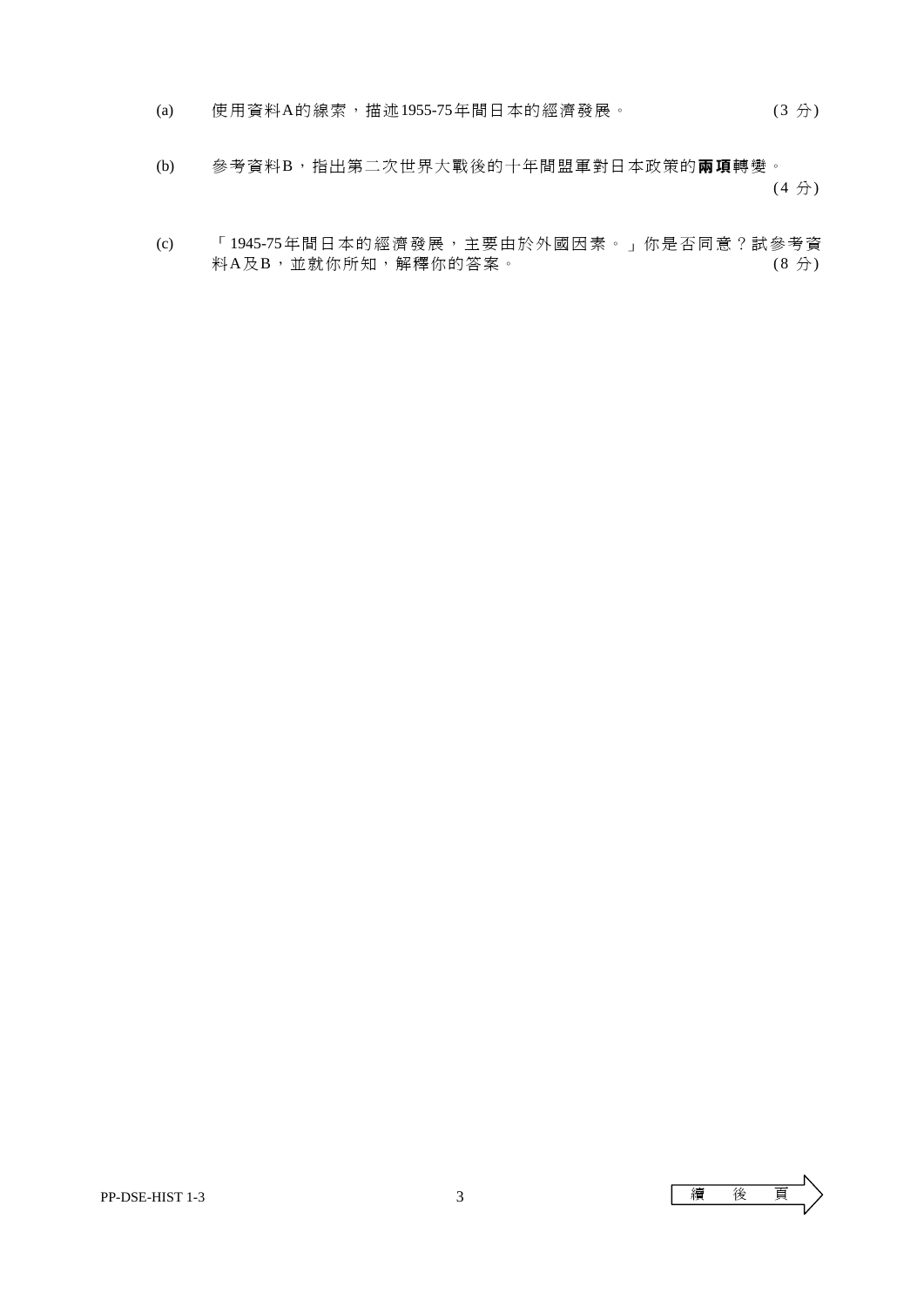- (a) 使用資料A的線索,描述1955-75年間日本的經濟發展。 (3 分)
- (b) 參考資料B,指出第二次世界大戰後的十年間盟軍對日本政策的**兩 項**轉變。  $(4 \nrightarrow)$ 
	- (c) 「1945-75年間日本的經濟發展,主要由於外國因素。」你是否同意?試參考資 料A及B,並就你所知,解釋你的答案。 (8分)

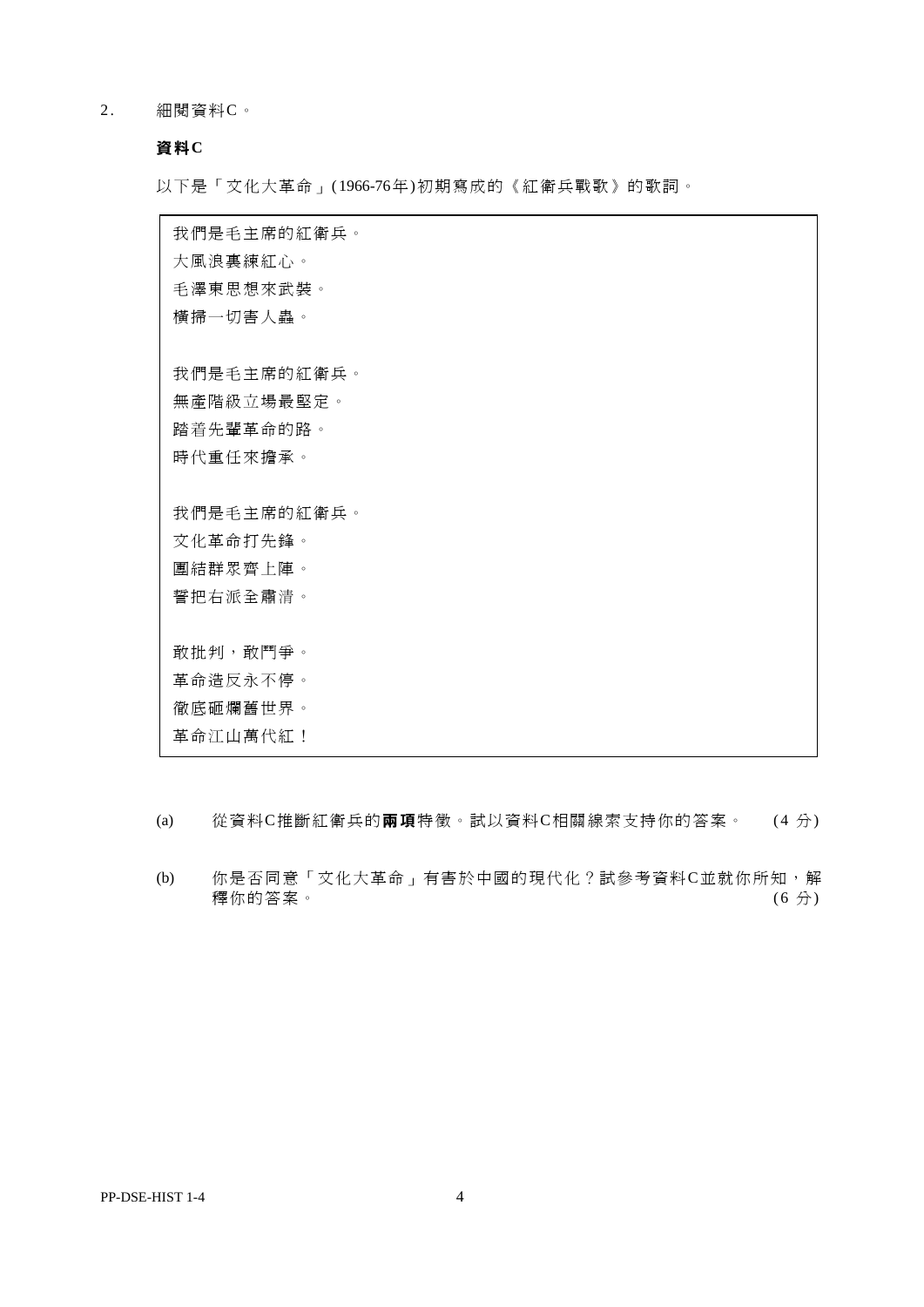2. 細閱資料C。

### **資料C**

以下是「文化大革命」( 1966-76年)初期寫成的《紅衛兵戰歌》的歌詞。

我們是毛主席的紅衛兵。 大風浪裏練紅心。 毛澤東思想來武裝。 橫掃一切害人蟲。 我們是毛主席的紅衛兵。 無產階級立場最堅定。 踏着先輩革命的路。 時代重任來擔承。 我們是毛主席的紅衛兵。 文化革命打先鋒。 團結群眾齊上陣。 誓把右派全肅清。 敢批判,敢鬥爭。 革命造反永不停。 徹底砸爛舊世界。 革命江山萬代紅!

(a) 從資料C推斷紅衛兵的**兩 項**特徵。試以資料C相關線索支持你的答案。 (4 分)

 (b) 你是否同意「文化大革命」有害於中國的現代化?試參考資料C並就你所知,解 釋你的答案。 (6 分)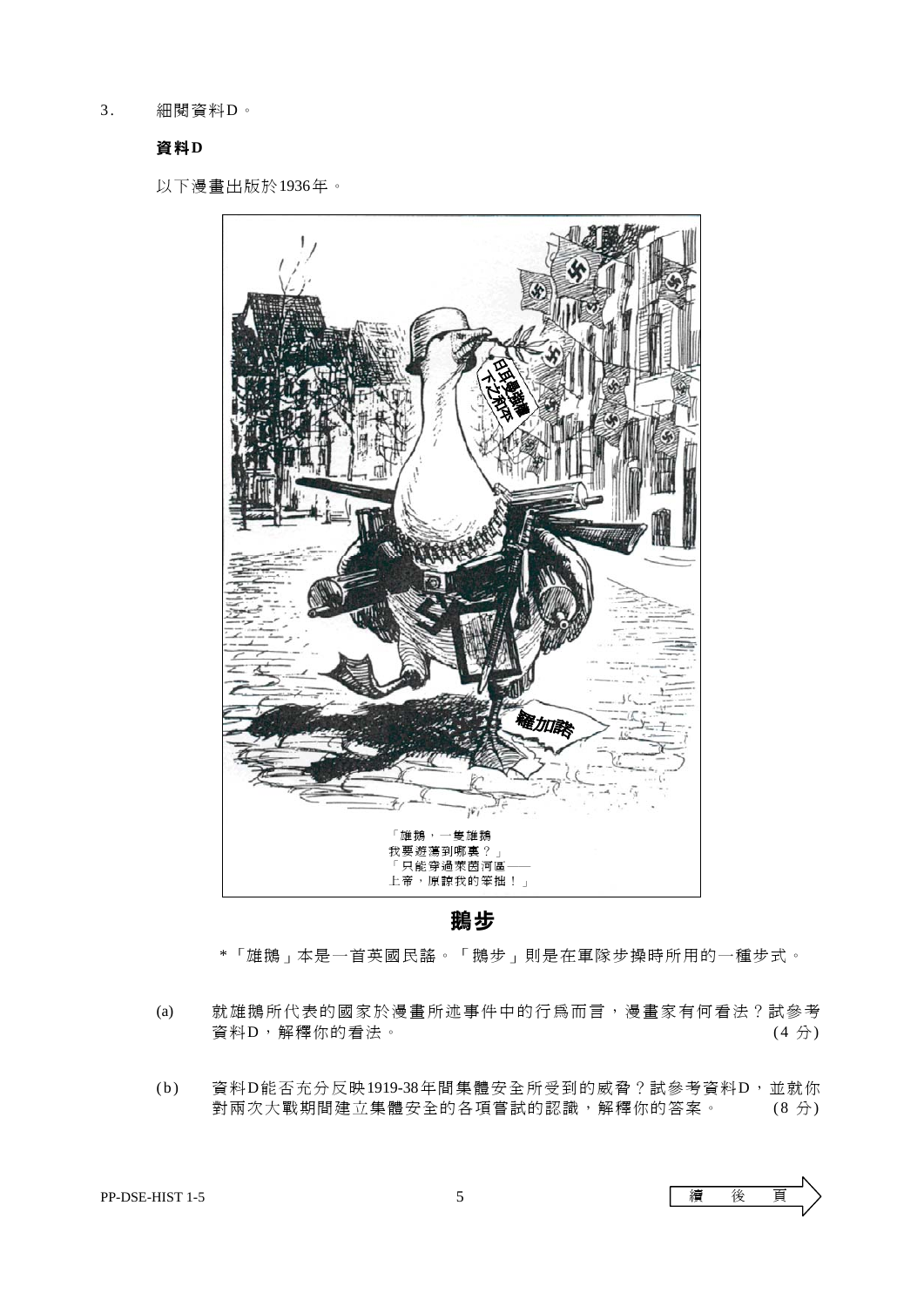3. 細閱資料D。

#### **資料D**

以下漫畫出版於1936年。



### **鵝步**

\* 「雄鵝」本是一首英國民謠。「鵝步」則是在軍隊步操時所用的一種步式。

- (a) 就雄鵝所代表的國家於漫畫所述事件中的行為而言,漫畫家有何看法?試參考  $\text{\sf f}$ 資料D,解釋你的看法。 (4分)
- (b) 資 料D能否充分反映1919-38年間集體安全所受到的威脅?試參考資料D,並就你 對兩次大戰期間建立集體安全的各項嘗試的認識,解釋你的答案。 (8 分)

PP-DSE-HIST 1-5 5 5 價 後 頁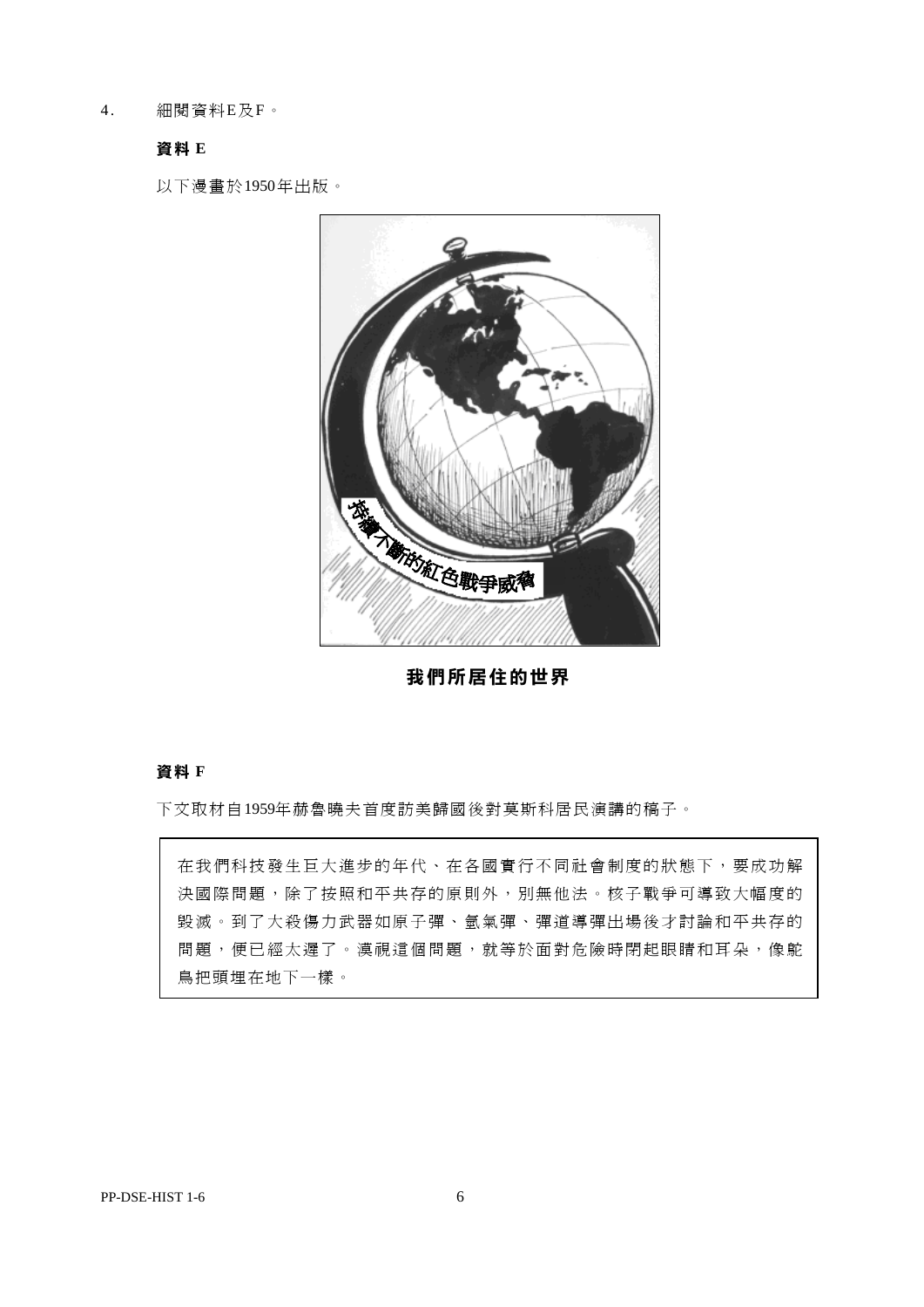4 . 細閱資料E及F。

### **資料 E**

以下漫畫於1950年出版。



**我們所居住的世界** 

#### **資料 F**

下文取材自1959年赫魯曉夫首度訪美歸國後對莫斯科居民演講的稿子。

在我們科技發生巨大進步的年代、在各國實行不同社會制度的狀態下,要成功解 決國際問題,除了按照和平共存的原則外,別無他法。核子戰爭可導致大幅度的 毀滅。到了大殺傷力武器如原子彈、氫氣彈、彈道導彈出場後才討論和平共存的 問題,便已經太遲了。漠視這個問題,就等於面對危險時閉起眼睛和耳朵,像鴕 鳥把頭埋在地下一樣。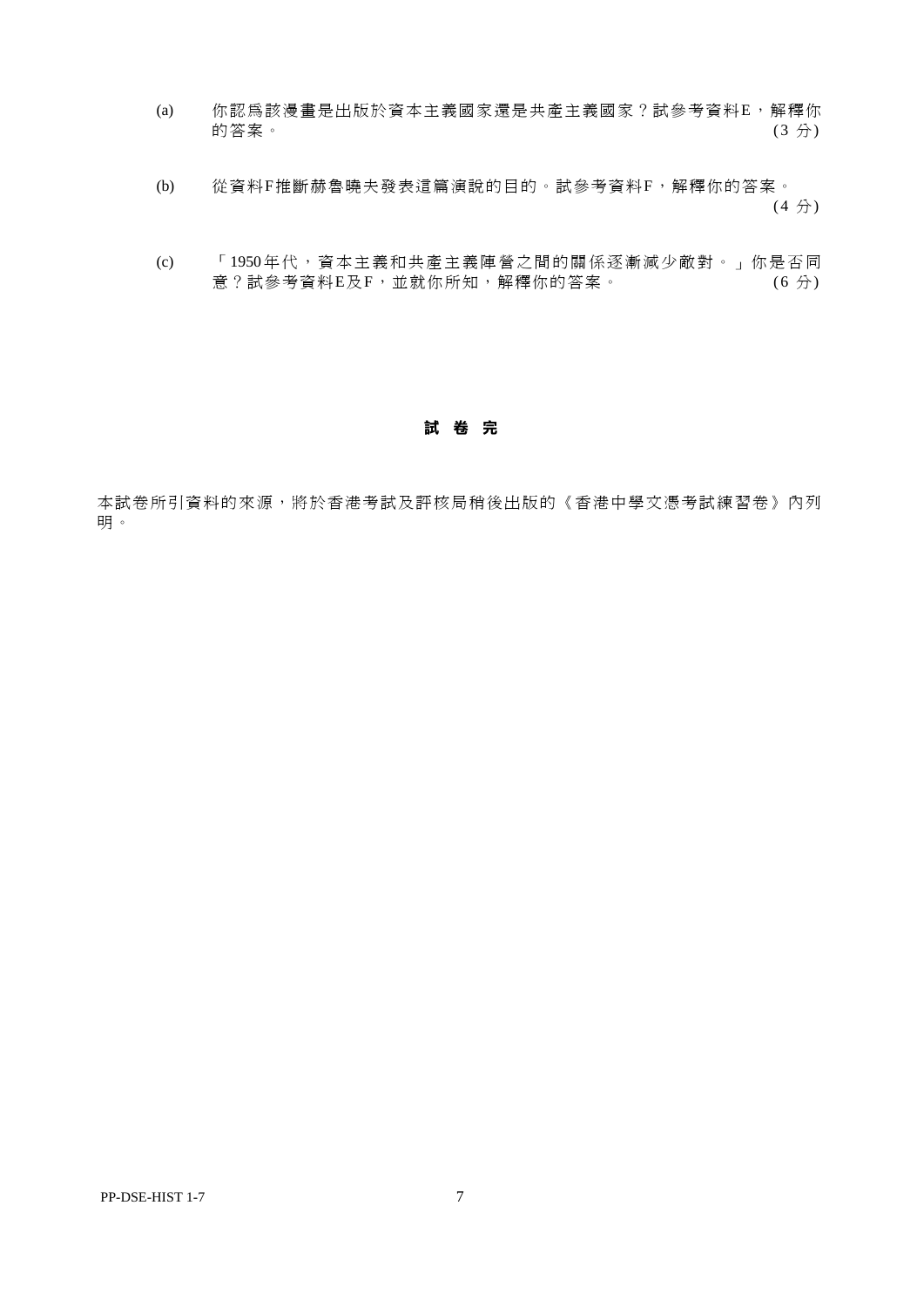- (a) 你認為該漫畫是出版於資本主義國家還是共產主義國家?試參考資料E,解釋你 的答案。 (3 分) (3 分) (3 分)
- (b) 從資料F推斷赫魯曉夫發表這篇演說的目的。試參考資料F,解釋你的答案。 (4  $\leftrightarrow$  ) (4  $\leftrightarrow$  ) (4  $\leftrightarrow$  )
- (c) 「1950年代,資本主義和共產主義陣營之間的關係逐漸減少敵對。」你是否同 意?試參考資料E及F,並就你所知,解釋你的答案。 (6分)

#### **試 卷 完**

本試卷所引資料的來源,將於香港考試及評核局稍後出版的《香港中學文憑考試練習卷》內列 明 。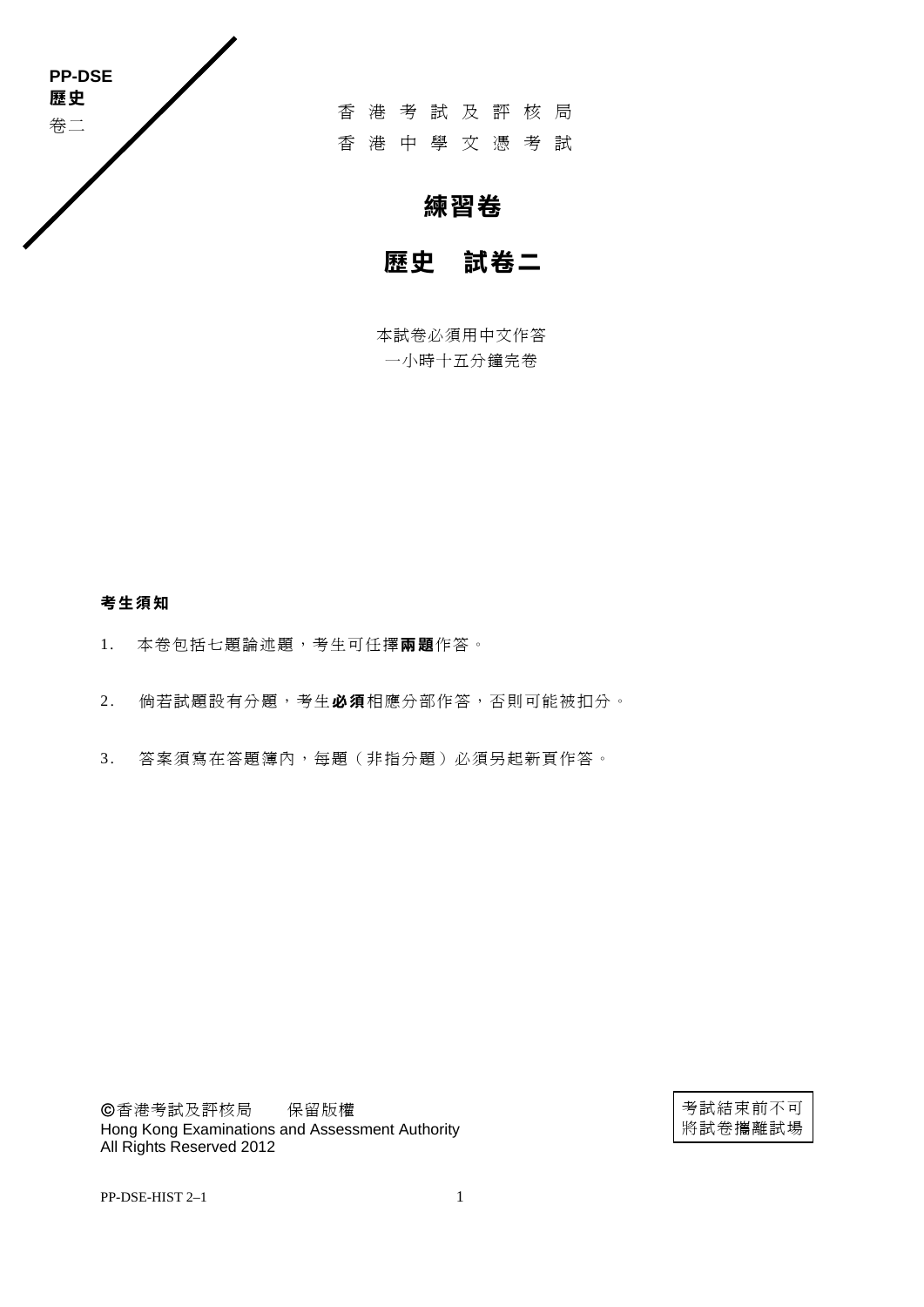

香港考試及評核局 香港中學文憑考試

# **練習卷**

# **歷史 試卷二**

本試卷必須用中文作答 一小時十五分鐘完卷

### **考生須知**

- 1. 本卷包括七題論述題,考生可任擇**兩 題**作答。
- 2. 倘若試題設有分題,考生必須相應分部作答,否則可能被扣分。
- 3 . 答案須寫在答題簿內,每題(非指分題)必須另起新頁作答。

香港考試及評核局 保留版權 Hong Kong Examinations and Assessment Authority All Rights Reserved 2012

考試結束前不可 將試卷攜離試場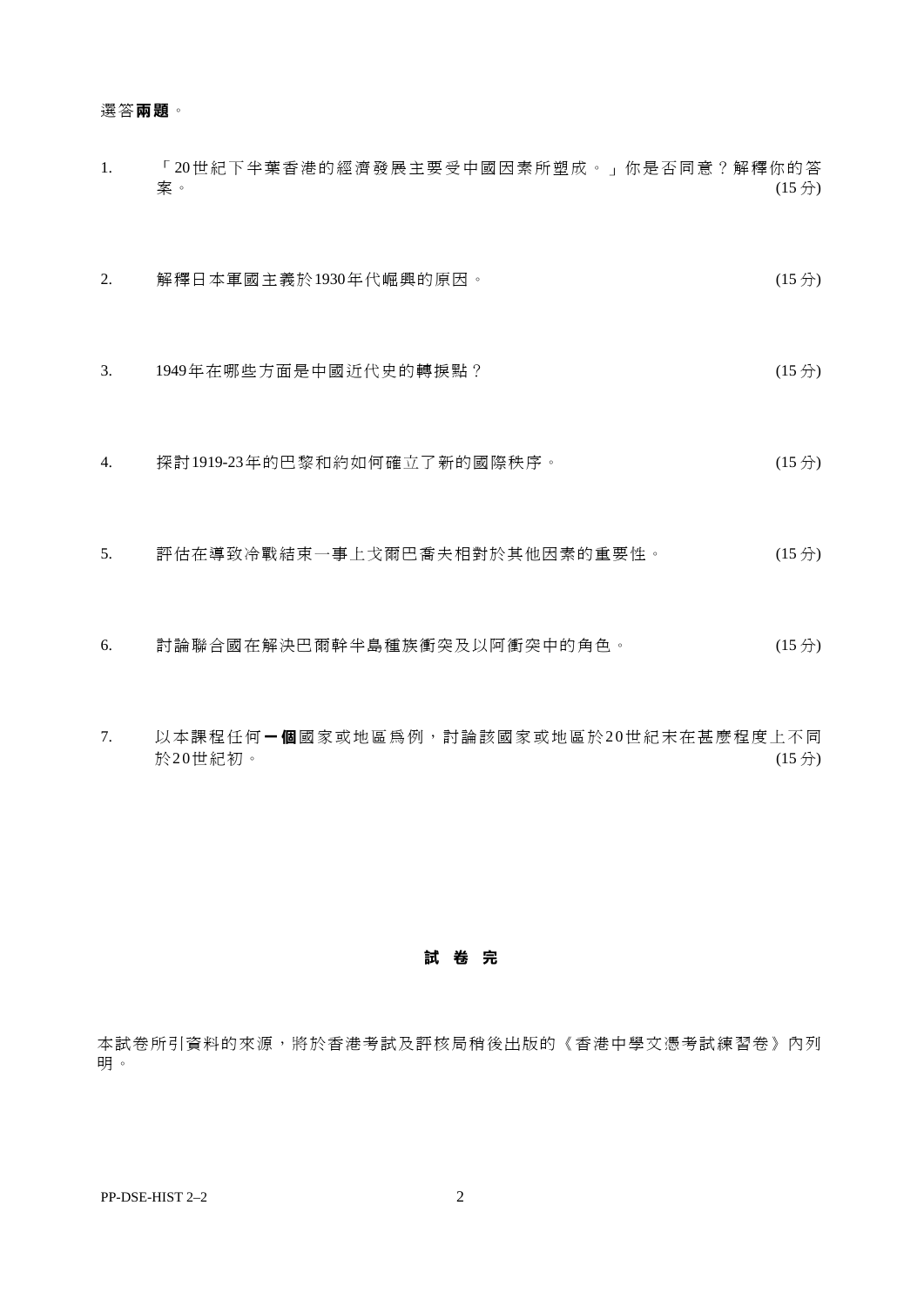#### 選答**兩 題**。

- 1. 「20世紀下半葉香港的經濟發展主要受中國因素所塑成。」你是否同意?解釋你的答 くちゃくらい アクセス アクセス アクセス こうしゃ アクセス かんしゃ アクセス (15分) しょうかん はんしゃ はんしゃ はんしゃ (15分) しょうかん しょうしょう
- 2. 解釋日本軍國主義於1930年代崛興的原因。 (15分)
- 3. 1949年在哪些方面是中國近代史的轉捩點? (15 分)
- 4. 探討1919-23年的巴黎和約如何確立了新的國際秩序。 (15分)
- 5. 評估在導致冷戰結束一事上戈爾巴喬夫相對於其他因素的重要性。 (15 分)
- 6. 討論聯合國在解決巴爾幹半島種族衝突及以阿衝突中的角色。 (15 分)
- 7. 以本課程任何**一 個**國家或地區為例,討論該國家或地區於2 0世紀末在甚麼程度上不同 於20世紀初。 (15分) (15分) (15分) (15分) (15分) (15分) (15分) (15分) (15分) (15分) (15分) (15分) (15分) (15分) (15分) (15分) (15分) (15分) (15分) (15分) (15分) (15分) (15分) (15分) (15分) (15分) (15分) (15分) (15分) (15分) (15分) (15分) (15分) (15分) (15分) (1

**試 卷 完** 

本試卷所引資料的來源,將於香港考試及評核局稍後出版的《香港中學文憑考試練習卷》內列 明 。